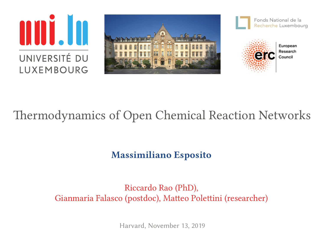







#### European Research

## Thermodynamics of Open Chemical Reaction Networks

#### **Massimiliano Esposito**

#### Riccardo Rao (PhD), Gianmaria Falasco (postdoc), Matteo Polettini (researcher)

Harvard, November 13, 2019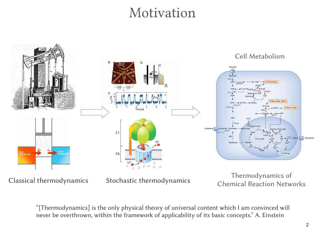### Motivation



"[Thermodynamics] is the only physical theory of universal content which I am convinced will never be overthrown, within the framework of applicability of its basic concepts." A. Einstein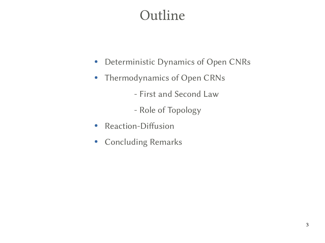## Outline

- Deterministic Dynamics of Open CNRs
- Thermodynamics of Open CRNs
	- First and Second Law
	- Role of Topology
- Reaction-Diffusion
- Concluding Remarks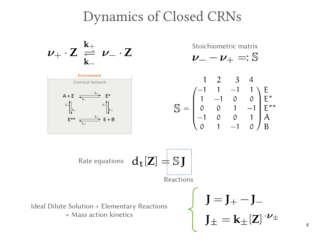#### Dynamics of Closed CRNs

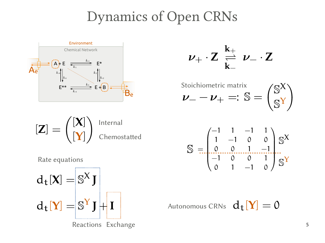## Dynamics of Open CRNs



$$
\nu_+\cdot Z\;\underset{k_-}{\overset{k_+}{\rightleftharpoons}}\;\nu_-\cdot Z
$$



$$
\begin{bmatrix} \mathbf{Z} \end{bmatrix} = \begin{pmatrix} \mathbf{X} \\ \mathbf{Y} \end{pmatrix} \begin{array}{c} \text{Internal} \\ \text{Chemostatted} \end{array}
$$

 $S = \begin{bmatrix} -1 & 1 & -1 & 1 \\ 1 & -1 & 0 & 0 \\ 0 & 0 & 1 & -1 \\ -1 & 0 & 0 & 1 \\ 0 & 0 & 1 & 0 \end{bmatrix} S^{X}$ 

Autonomous CRNs  $d_f[Y] = 0$ 

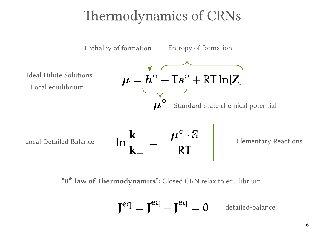# Thermodynamics of CRNs



Local Detailed Balance

$$
\ln\frac{\mathbf{k}_+}{\mathbf{k}_-}=-\frac{\boldsymbol{\mu}^\circ\cdot\mathbb{S}}{RT}
$$

Elementary Reactions

**"0 th law of Thermodynamics"**: Closed CRN relax to equilibrium

$$
\mathbf{J}^{\text{eq}} = \mathbf{J}^{\text{eq}}_+ - \mathbf{J}^{\text{eq}}_- = 0
$$
 detailed-balance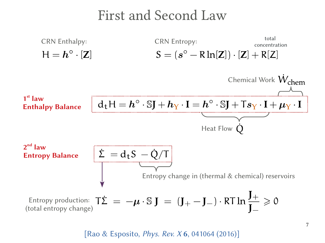### First and Second Law



[Rao & Esposito, *Phys. Rev. X* **6**, 041064 (2016)]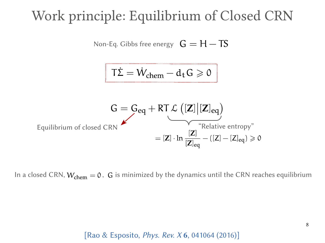## Work principle: Equilibrium of Closed CRN



In a closed CRN,  $W_{chem} = 0$ , G is minimized by the dynamics until the CRN reaches equilibrium

[Rao & Esposito, *Phys. Rev. X* **6**, 041064 (2016)]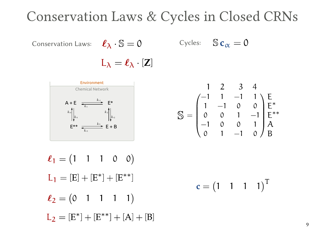### Conservation Laws & Cycles in Closed CRNs

Conservation Laws:  $\ell_{\lambda} \cdot \mathbb{S} = 0$  Cycles:  $\mathbb{S} c_{\alpha} = 0$ 

$$
\ell_{\lambda} \cdot \mathbb{S} = 0
$$

$$
L_{\lambda} = \ell_{\lambda} \cdot [Z]
$$



$$
\mathbb{S} = \begin{pmatrix}\n1 & 2 & 3 & 4 \\
-1 & 1 & -1 & 1 \\
1 & -1 & 0 & 0 \\
0 & 0 & 1 & -1 \\
-1 & 0 & 0 & 1 \\
0 & 1 & -1 & 0\n\end{pmatrix} \begin{matrix}\nE \\ E^* \\ E^{**} \\ A \\ B\n\end{matrix}
$$

$$
\ell_1 = (1 \quad 1 \quad 1 \quad 0 \quad 0)
$$
  
\n
$$
L_1 = [E] + [E^*] + [E^{**}]
$$
  
\n
$$
\ell_2 = (0 \quad 1 \quad 1 \quad 1 \quad 1)
$$
  
\n
$$
L_2 = [E^*] + [E^{**}] + [A] + [B]
$$
  
\n
$$
(1 \quad 1 \quad 1 \quad 1)
$$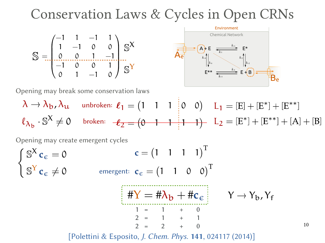### Conservation Laws & Cycles in Open CRNs





10

Opening may break some conservation laws

 $\ell_{\lambda_{\rm b}}\cdot \mathbb{S}^X\neq 0$  broken:  $-\ell_2=(0\!-\!1\!-\!1\!-\!1\!-\!1\!)-L_2=[E^*]+[E^{**}]+[A]+[B]$  $\lambda \rightarrow \lambda_b$ ,  $\lambda_u$  unbroken:  $\ell_1 = \begin{pmatrix} 1 & 1 & 1 & 0 & 0 \end{pmatrix}$   $L_1 = [E] + [E^*] + [E^{**}]$ 

Opening may create emergent cycles



[Polettini & Esposito, *J. Chem. Phys.* **141**, 024117 (2014)]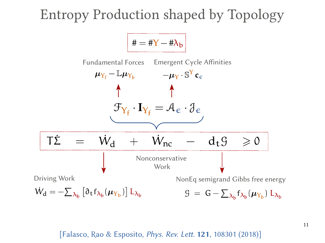## Entropy Production shaped by Topology



[Falasco, Rao & Esposito, *Phys. Rev. Lett.* **121**, 108301 (2018)]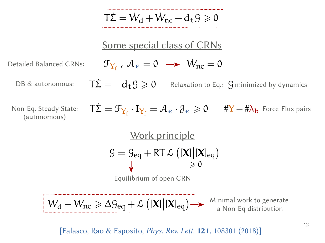$$
\boxed{\mathsf{T}\dot{\Sigma} = \dot{W}_{d} + \dot{W}_{nc} - d_{t}\mathcal{G} \geqslant 0}
$$
\nSome special class of CRNs

\n Detailed Balance CRNs: 
$$
\mathcal{F}_{Y_{f}} \, , \, \mathcal{A}_{\varepsilon} = 0 \, \longrightarrow \, \dot{W}_{nc} = 0
$$

\nDB & autonomous: 
$$
\mathsf{T}\dot{\Sigma} = -d_{t}\mathcal{G} \geqslant 0 \quad \text{Relaxation to Eq. } \mathcal{G} \text{ minimized by dynamics (automomous)}
$$
\nNon-Eq. Steady State: 
$$
\mathsf{T}\dot{\Sigma} = \mathcal{F}_{Y_{f}} \cdot \mathbf{I}_{Y_{f}} = \mathcal{A}_{\varepsilon} \cdot \mathcal{J}_{\varepsilon} \geqslant 0 \quad \#Y - \#\lambda_{b} \text{ Force-Flux pairs}
$$

\n
$$
\frac{\text{Work principle}}{\mathcal{G} = \mathcal{G}_{eq} + \text{RT }\mathcal{L} \left( [\mathbf{X}] [\mathbf{X}]_{eq} \right)} \geqslant 0
$$
\nEquilibrium of open CRN

\n
$$
\boxed{W_{d} + W_{nc} \geqslant \Delta \mathcal{G}_{eq} + \mathcal{L} \left( [\mathbf{X}] [\mathbf{X}]_{eq} \right)} \qquad \text{Minimal work to generate a Non-Eq distribution}
$$

[Falasco, Rao & Esposito, *Phys. Rev. Lett.* **121**, 108301 (2018)]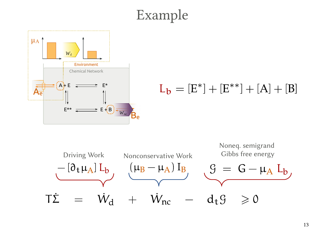# Example



#### $L_b = [E^*] + [E^{**}] + [A] + [B]$

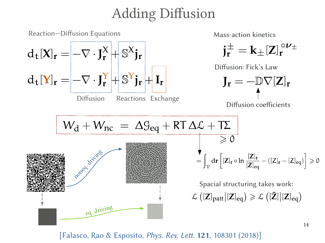## Adding Diffusion



[Falasco, Rao & Esposito, *Phys. Rev. Lett.* **121**, 108301 (2018)]